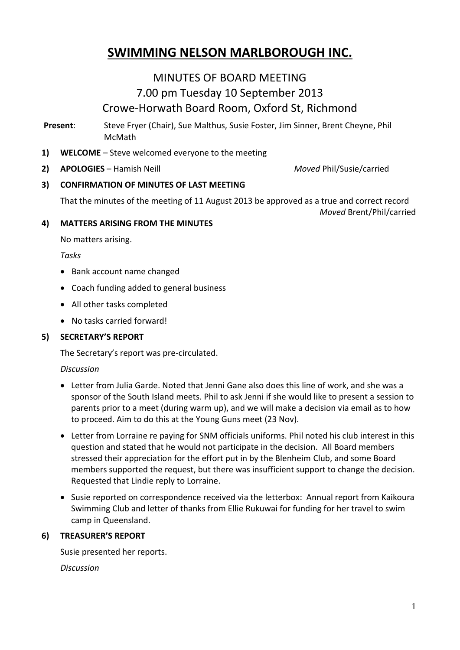# **SWIMMING NELSON MARLBOROUGH INC.**

## MINUTES OF BOARD MEETING 7.00 pm Tuesday 10 September 2013 Crowe-Horwath Board Room, Oxford St, Richmond

**Present**: Steve Fryer (Chair), Sue Malthus, Susie Foster, Jim Sinner, Brent Cheyne, Phil McMath

- **1) WELCOME** Steve welcomed everyone to the meeting
- **2) APOLOGIES** Hamish Neill *Moved* Phil/Susie/carried

## **3) CONFIRMATION OF MINUTES OF LAST MEETING**

That the minutes of the meeting of 11 August 2013 be approved as a true and correct record

*Moved* Brent/Phil/carried

#### **4) MATTERS ARISING FROM THE MINUTES**

No matters arising.

*Tasks*

- Bank account name changed
- Coach funding added to general business
- All other tasks completed
- No tasks carried forward!

## **5) SECRETARY'S REPORT**

The Secretary's report was pre-circulated.

## *Discussion*

- Letter from Julia Garde. Noted that Jenni Gane also does this line of work, and she was a sponsor of the South Island meets. Phil to ask Jenni if she would like to present a session to parents prior to a meet (during warm up), and we will make a decision via email as to how to proceed. Aim to do this at the Young Guns meet (23 Nov).
- Letter from Lorraine re paying for SNM officials uniforms. Phil noted his club interest in this question and stated that he would not participate in the decision. All Board members stressed their appreciation for the effort put in by the Blenheim Club, and some Board members supported the request, but there was insufficient support to change the decision. Requested that Lindie reply to Lorraine.
- Susie reported on correspondence received via the letterbox: Annual report from Kaikoura Swimming Club and letter of thanks from Ellie Rukuwai for funding for her travel to swim camp in Queensland.

## **6) TREASURER'S REPORT**

Susie presented her reports.

*Discussion*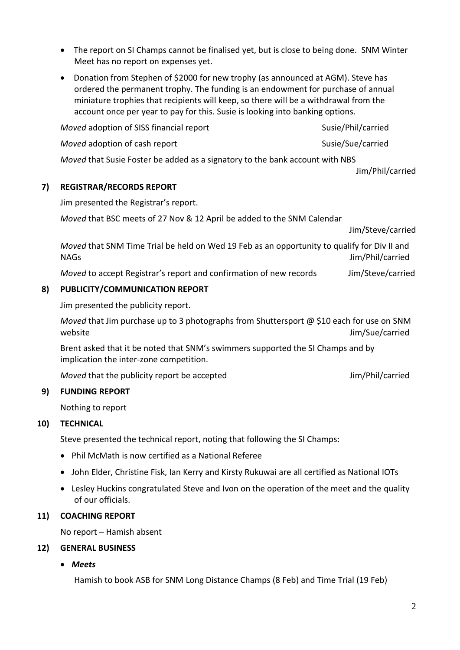- The report on SI Champs cannot be finalised yet, but is close to being done. SNM Winter Meet has no report on expenses yet.
- Donation from Stephen of \$2000 for new trophy (as announced at AGM). Steve has ordered the permanent trophy. The funding is an endowment for purchase of annual miniature trophies that recipients will keep, so there will be a withdrawal from the account once per year to pay for this. Susie is looking into banking options.

*Moved* adoption of SISS financial report Susie/Phil/carried *Moved* adoption of cash report Susie/Sue/carried

*Moved* that Susie Foster be added as a signatory to the bank account with NBS

Jim/Phil/carried

#### **7) REGISTRAR/RECORDS REPORT**

Jim presented the Registrar's report.

*Moved* that BSC meets of 27 Nov & 12 April be added to the SNM Calendar

Jim/Steve/carried

*Moved* that SNM Time Trial be held on Wed 19 Feb as an opportunity to qualify for Div II and NAGs Jim/Phil/carried

*Moved* to accept Registrar's report and confirmation of new records Jim/Steve/carried

#### **8) PUBLICITY/COMMUNICATION REPORT**

Jim presented the publicity report.

*Moved* that Jim purchase up to 3 photographs from Shuttersport @ \$10 each for use on SNM website **State Affinite State Affine State Affine State Affine State Affine State Affine State Affine State Affine State Affine State Affine State Affine State Affine State Affine State Affine State Affine State Affine Sta** 

Brent asked that it be noted that SNM's swimmers supported the SI Champs and by implication the inter-zone competition.

*Moved* that the publicity report be accepted Jim/Phil/carried

## **9) FUNDING REPORT**

Nothing to report

## **10) TECHNICAL**

Steve presented the technical report, noting that following the SI Champs:

- Phil McMath is now certified as a National Referee
- John Elder, Christine Fisk, Ian Kerry and Kirsty Rukuwai are all certified as National IOTs
- Lesley Huckins congratulated Steve and Ivon on the operation of the meet and the quality of our officials.

#### **11) COACHING REPORT**

No report – Hamish absent

#### **12) GENERAL BUSINESS**

*Meets*

Hamish to book ASB for SNM Long Distance Champs (8 Feb) and Time Trial (19 Feb)